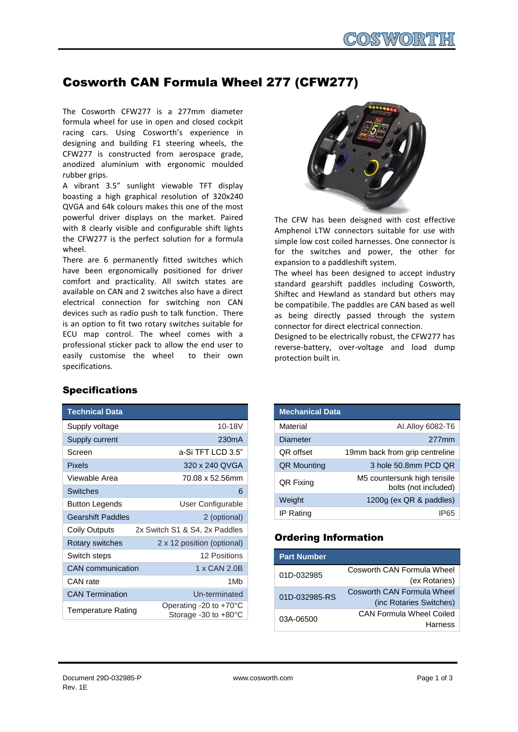# Cosworth CAN Formula Wheel 277 (CFW277)

The Cosworth CFW277 is a 277mm diameter formula wheel for use in open and closed cockpit racing cars. Using Cosworth's experience in designing and building F1 steering wheels, the CFW277 is constructed from aerospace grade, anodized aluminium with ergonomic moulded rubber grips.

A vibrant 3.5" sunlight viewable TFT display boasting a high graphical resolution of 320x240 QVGA and 64k colours makes this one of the most powerful driver displays on the market. Paired with 8 clearly visible and configurable shift lights the CFW277 is the perfect solution for a formula wheel.

There are 6 permanently fitted switches which have been ergonomically positioned for driver comfort and practicality. All switch states are available on CAN and 2 switches also have a direct electrical connection for switching non CAN devices such as radio push to talk function. There is an option to fit two rotary switches suitable for ECU map control. The wheel comes with a professional sticker pack to allow the end user to easily customise the wheel to their own specifications.



The CFW has been deisgned with cost effective Amphenol LTW connectors suitable for use with simple low cost coiled harnesses. One connector is for the switches and power, the other for expansion to a paddleshift system.

The wheel has been designed to accept industry standard gearshift paddles including Cosworth, Shiftec and Hewland as standard but others may be compatibile. The paddles are CAN based as well as being directly passed through the system connector for direct electrical connection.

Designed to be electrically robust, the CFW277 has reverse-battery, over-voltage and load dump protection built in.

| <b>Mechanical Data</b> |                                                     |
|------------------------|-----------------------------------------------------|
| Material               | Al. Alloy 6082-T6                                   |
| Diameter               | 277mm                                               |
| QR offset              | 19mm back from grip centreline                      |
| <b>QR Mounting</b>     | 3 hole 50.8mm PCD QR                                |
| QR Fixing              | M5 countersunk high tensile<br>bolts (not included) |
| Weight                 | 1200g (ex QR & paddles)                             |
| IP Rating              |                                                     |

### Ordering Information

| <b>Part Number</b> |                                   |
|--------------------|-----------------------------------|
| 01D-032985         | Cosworth CAN Formula Wheel        |
|                    | (ex Rotaries)                     |
| 01D-032985-RS      | <b>Cosworth CAN Formula Wheel</b> |
|                    | (inc Rotaries Switches)           |
| 03A-06500          | <b>CAN Formula Wheel Coiled</b>   |
|                    | Harness                           |

## **Specifications**

| <b>Technical Data</b>    |                                                                    |
|--------------------------|--------------------------------------------------------------------|
| Supply voltage           | 10-18V                                                             |
| Supply current           | 230 <sub>m</sub> A                                                 |
| Screen                   | a-Si TFT LCD 3.5"                                                  |
| Pixels                   | 320 x 240 QVGA                                                     |
| Viewable Area            | 70.08 x 52.56mm                                                    |
| <b>Switches</b>          | 6                                                                  |
| <b>Button Legends</b>    | User Configurable                                                  |
| <b>Gearshift Paddles</b> | 2 (optional)                                                       |
| Coily Outputs            | 2x Switch S1 & S4, 2x Paddles                                      |
| Rotary switches          | 2 x 12 position (optional)                                         |
| Switch steps             | 12 Positions                                                       |
| CAN communication        | 1 x CAN 2.0B                                                       |
| CAN rate                 | 1M <sub>b</sub>                                                    |
| <b>CAN Termination</b>   | Un-terminated                                                      |
| Temperature Rating       | Operating -20 to $+70^{\circ}$ C<br>Storage -30 to $+80^{\circ}$ C |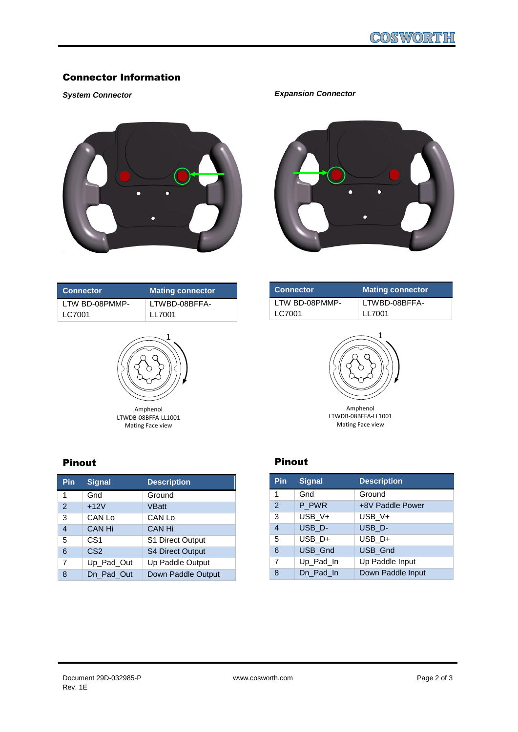### Connector Information

#### *System Connector*





| <b>Connector</b> | <b>Mating connector</b> |
|------------------|-------------------------|
| LTW BD-08PMMP-   | LTWBD-08BFFA-           |
| LC7001           | LI 7001                 |



Amphenol LTWDB-08BFFA-LL1001 Mating Face view

| <b>Connector</b> | <b>Mating connector</b> |
|------------------|-------------------------|
| LTW BD-08PMMP-   | LTWBD-08BFFA-           |
| LC7001           | LL 7001                 |
|                  |                         |



LTWDB-08BFFA-LL1001 Mating Face view

# Pinout

| Pin            | <b>Signal</b>   | <b>Description</b>      |
|----------------|-----------------|-------------------------|
| 1              | Gnd             | Ground                  |
| $\mathfrak{p}$ | $+12V$          | <b>VBatt</b>            |
| 3              | CAN Lo          | CAN Lo                  |
| $\overline{4}$ | <b>CAN Hi</b>   | CAN Hi                  |
| 5              | CS <sub>1</sub> | S1 Direct Output        |
| 6              | CS <sub>2</sub> | <b>S4 Direct Output</b> |
| 7              | Up_Pad_Out      | Up Paddle Output        |
| 8              | Dn Pad Out      | Down Paddle Output      |

### Pinout

| Pin            | <b>Signal</b> | <b>Description</b> |
|----------------|---------------|--------------------|
| 1              | Gnd           | Ground             |
| $\mathfrak{p}$ | P_PWR         | +8V Paddle Power   |
| 3              | USB V+        | USB V+             |
| 4              | USB_D-        | USB D-             |
| 5              | USB_D+        | USB D+             |
| 6              | USB_Gnd       | <b>USB Gnd</b>     |
| 7              | Up_Pad_In     | Up Paddle Input    |
| 8              | Dn Pad In     | Down Paddle Input  |